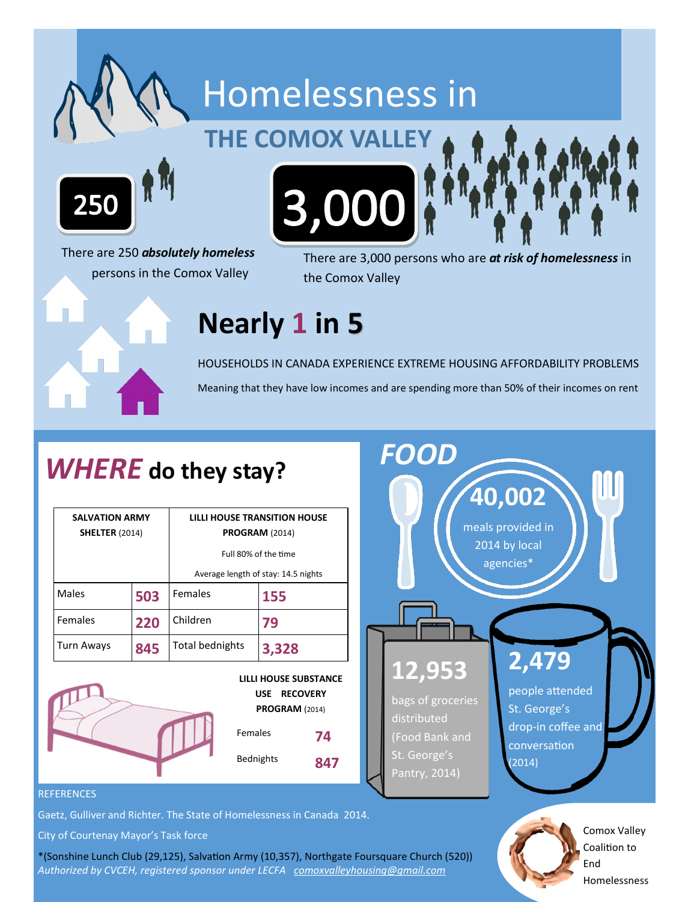

There are 250 *absolutely homeless*  persons in the Comox Valley

There are 3,000 persons who are *at risk of homelessness* in the Comox Valley

### **Nearly 1 in 5**

HOUSEHOLDS IN CANADA EXPERIENCE EXTREME HOUSING AFFORDABILITY PROBLEMS Meaning that they have low incomes and are spending more than 50% of their incomes on rent

### *WHERE* **do they stay?**

| <b>SALVATION ARMY</b><br><b>SHELTER (2014)</b> |     | LILLI HOUSE TRANSITION HOUSE<br><b>PROGRAM (2014)</b> |       |
|------------------------------------------------|-----|-------------------------------------------------------|-------|
|                                                |     | Full 80% of the time                                  |       |
|                                                |     | Average length of stay: 14.5 nights                   |       |
| Males                                          | 503 | Females                                               | 155   |
| <b>Females</b>                                 | 220 | Children                                              | 79    |
| <b>Turn Aways</b>                              | 845 | Total bednights                                       | 3,328 |





#### **REFERENCES**

Gaetz, Gulliver and Richter. The State of Homelessness in Canada 2014.

City of Courtenay Mayor's Task force

\*(Sonshine Lunch Club (29,125), Salvation Army (10,357), Northgate Foursquare Church (520)) *Authorized by CVCEH, registered sponsor under LECFA [comoxvalleyhousing@gmail.com](mailto:comoxvalleyhousing@gmail.com)*

End Homelessness

Coalition to